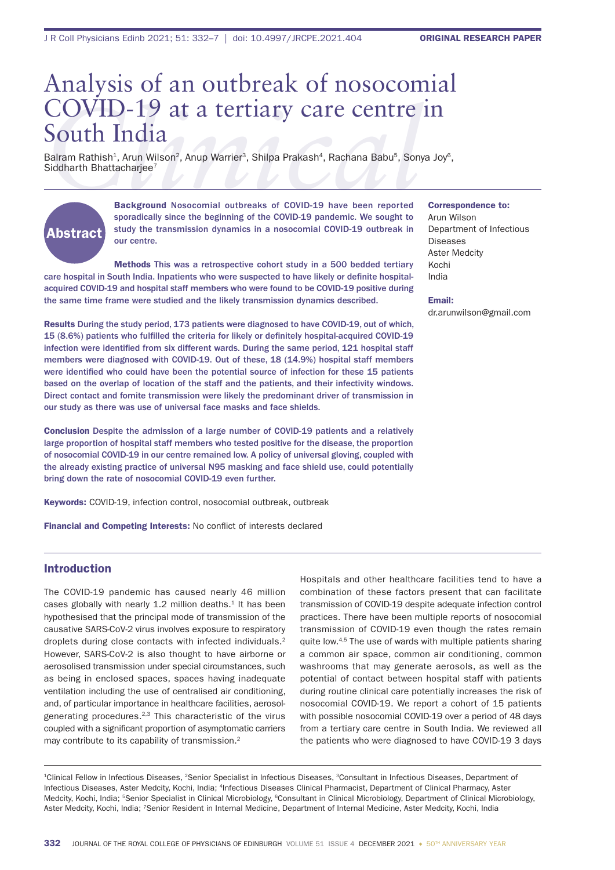# **COVID-19 at a tertiary care centre in**<br> **South India**<br>
Balram Rathish<sup>1</sup>, Arun Wilson<sup>2</sup>, Anup Warrier<sup>3</sup>, Shilpa Prakash<sup>4</sup>, Rachana Babu<sup>5</sup>, Sonya Joy<sup>6</sup><br>
Siddharth Bhattacharjee<sup>7</sup><br>
Background Nosocomial outbreaks of C Analysis of an outbreak of nosocomial South India

Balram Rathish<sup>1</sup>, Arun Wilson<sup>2</sup>, Anup Warrier<sup>3</sup>, Shilpa Prakash<sup>4</sup>, Rachana Babu<sup>5</sup>, Sonya Joy<sup>6</sup>, Siddharth Bhattacharjee<sup>7</sup>

# Abstract

Background Nosocomial outbreaks of COVID-19 have been reported sporadically since the beginning of the COVID-19 pandemic. We sought to study the transmission dynamics in a nosocomial COVID-19 outbreak in our centre.

Methods This was a retrospective cohort study in a 500 bedded tertiary care hospital in South India. Inpatients who were suspected to have likely or definite hospitalacquired COVID-19 and hospital staff members who were found to be COVID-19 positive during the same time frame were studied and the likely transmission dynamics described.

Results During the study period, 173 patients were diagnosed to have COVID-19, out of which, 15 (8.6%) patients who fulfilled the criteria for likely or definitely hospital-acquired COVID-19 infection were identified from six different wards. During the same period, 121 hospital staff members were diagnosed with COVID-19. Out of these, 18 (14.9%) hospital staff members were identified who could have been the potential source of infection for these 15 patients based on the overlap of location of the staff and the patients, and their infectivity windows. Direct contact and fomite transmission were likely the predominant driver of transmission in our study as there was use of universal face masks and face shields.

Conclusion Despite the admission of a large number of COVID-19 patients and a relatively large proportion of hospital staff members who tested positive for the disease, the proportion of nosocomial COVID-19 in our centre remained low. A policy of universal gloving, coupled with the already existing practice of universal N95 masking and face shield use, could potentially bring down the rate of nosocomial COVID-19 even further.

Keywords: COVID-19, infection control, nosocomial outbreak, outbreak

Financial and Competing Interests: No conflict of interests declared

# Introduction

The COVID-19 pandemic has caused nearly 46 million cases globally with nearly  $1.2$  million deaths.<sup>1</sup> It has been hypothesised that the principal mode of transmission of the causative SARS-CoV-2 virus involves exposure to respiratory droplets during close contacts with infected individuals.2 However, SARS-CoV-2 is also thought to have airborne or aerosolised transmission under special circumstances, such as being in enclosed spaces, spaces having inadequate ventilation including the use of centralised air conditioning, and, of particular importance in healthcare facilities, aerosolgenerating procedures.2,3 This characteristic of the virus coupled with a significant proportion of asymptomatic carriers may contribute to its capability of transmission.<sup>2</sup>

Hospitals and other healthcare facilities tend to have a combination of these factors present that can facilitate transmission of COVID-19 despite adequate infection control practices. There have been multiple reports of nosocomial transmission of COVID-19 even though the rates remain quite low.4,5 The use of wards with multiple patients sharing a common air space, common air conditioning, common washrooms that may generate aerosols, as well as the potential of contact between hospital staff with patients during routine clinical care potentially increases the risk of nosocomial COVID-19. We report a cohort of 15 patients with possible nosocomial COVID-19 over a period of 48 days from a tertiary care centre in South India. We reviewed all the patients who were diagnosed to have COVID-19 3 days

<sup>1</sup>Clinical Fellow in Infectious Diseases, <sup>2</sup>Senior Specialist in Infectious Diseases, <sup>3</sup>Consultant in Infectious Diseases, Department of Infectious Diseases, Aster Medcity, Kochi, India; 4Infectious Diseases Clinical Pharmacist, Department of Clinical Pharmacy, Aster Medcity, Kochi, India; 5Senior Specialist in Clinical Microbiology, 6Consultant in Clinical Microbiology, Department of Clinical Microbiology, Aster Medcity, Kochi, India; 7Senior Resident in Internal Medicine, Department of Internal Medicine, Aster Medcity, Kochi, India

#### Correspondence to:

Arun Wilson Department of Infectious Diseases Aster Medcity Kochi India

Email: dr.arunwilson@gmail.com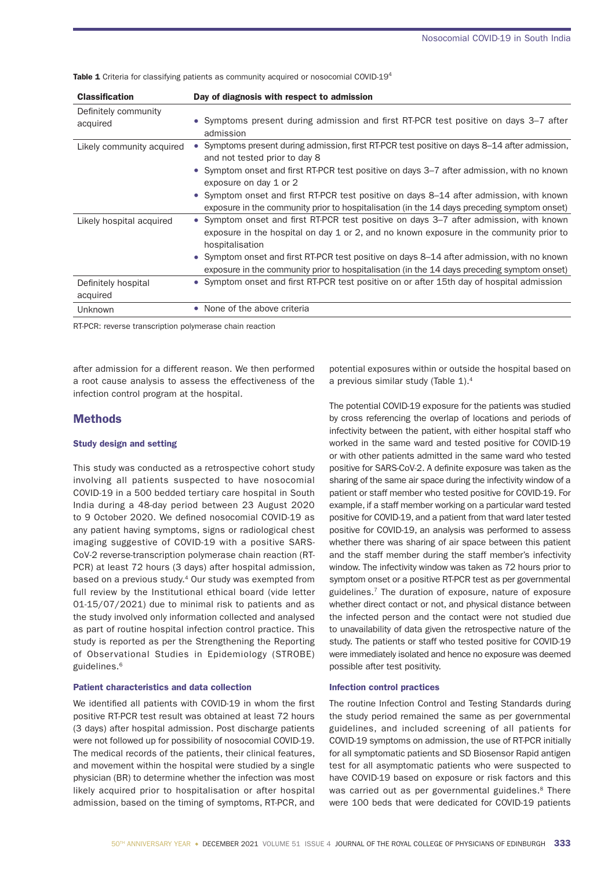Table 1 Criteria for classifying patients as community acquired or nosocomial COVID-19<sup>4</sup>

| <b>Classification</b>            | Day of diagnosis with respect to admission                                                                                                                                                           |
|----------------------------------|------------------------------------------------------------------------------------------------------------------------------------------------------------------------------------------------------|
| Definitely community<br>acquired | • Symptoms present during admission and first RT-PCR test positive on days 3–7 after<br>admission                                                                                                    |
| Likely community acquired        | Symptoms present during admission, first RT-PCR test positive on days 8–14 after admission,<br>and not tested prior to day 8                                                                         |
|                                  | • Symptom onset and first RT-PCR test positive on days 3–7 after admission, with no known<br>exposure on day 1 or 2                                                                                  |
|                                  | • Symptom onset and first RT-PCR test positive on days 8–14 after admission, with known<br>exposure in the community prior to hospitalisation (in the 14 days preceding symptom onset)               |
| Likely hospital acquired         | • Symptom onset and first RT-PCR test positive on days 3–7 after admission, with known<br>exposure in the hospital on day 1 or 2, and no known exposure in the community prior to<br>hospitalisation |
|                                  | • Symptom onset and first RT-PCR test positive on days 8–14 after admission, with no known<br>exposure in the community prior to hospitalisation (in the 14 days preceding symptom onset)            |
| Definitely hospital<br>acquired  | • Symptom onset and first RT-PCR test positive on or after 15th day of hospital admission                                                                                                            |
| <b>Unknown</b>                   | • None of the above criteria                                                                                                                                                                         |

RT-PCR: reverse transcription polymerase chain reaction

after admission for a different reason. We then performed a root cause analysis to assess the effectiveness of the infection control program at the hospital.

## **Methods**

#### Study design and setting

This study was conducted as a retrospective cohort study involving all patients suspected to have nosocomial COVID-19 in a 500 bedded tertiary care hospital in South India during a 48-day period between 23 August 2020 to 9 October 2020. We defined nosocomial COVID-19 as any patient having symptoms, signs or radiological chest imaging suggestive of COVID-19 with a positive SARS-CoV-2 reverse-transcription polymerase chain reaction (RT-PCR) at least 72 hours (3 days) after hospital admission, based on a previous study.4 Our study was exempted from full review by the Institutional ethical board (vide letter 01-15/07/2021) due to minimal risk to patients and as the study involved only information collected and analysed as part of routine hospital infection control practice. This study is reported as per the Strengthening the Reporting of Observational Studies in Epidemiology (STROBE) guidelines.6

#### Patient characteristics and data collection

We identified all patients with COVID-19 in whom the first positive RT-PCR test result was obtained at least 72 hours (3 days) after hospital admission. Post discharge patients were not followed up for possibility of nosocomial COVID-19. The medical records of the patients, their clinical features, and movement within the hospital were studied by a single physician (BR) to determine whether the infection was most likely acquired prior to hospitalisation or after hospital admission, based on the timing of symptoms, RT-PCR, and

potential exposures within or outside the hospital based on a previous similar study (Table 1).<sup>4</sup>

The potential COVID-19 exposure for the patients was studied by cross referencing the overlap of locations and periods of infectivity between the patient, with either hospital staff who worked in the same ward and tested positive for COVID-19 or with other patients admitted in the same ward who tested positive for SARS-CoV-2. A definite exposure was taken as the sharing of the same air space during the infectivity window of a patient or staff member who tested positive for COVID-19. For example, if a staff member working on a particular ward tested positive for COVID-19, and a patient from that ward later tested positive for COVID-19, an analysis was performed to assess whether there was sharing of air space between this patient and the staff member during the staff member's infectivity window. The infectivity window was taken as 72 hours prior to symptom onset or a positive RT-PCR test as per governmental guidelines.7 The duration of exposure, nature of exposure whether direct contact or not, and physical distance between the infected person and the contact were not studied due to unavailability of data given the retrospective nature of the study. The patients or staff who tested positive for COVID-19 were immediately isolated and hence no exposure was deemed possible after test positivity.

#### Infection control practices

The routine Infection Control and Testing Standards during the study period remained the same as per governmental guidelines, and included screening of all patients for COVID-19 symptoms on admission, the use of RT-PCR initially for all symptomatic patients and SD Biosensor Rapid antigen test for all asymptomatic patients who were suspected to have COVID-19 based on exposure or risk factors and this was carried out as per governmental guidelines.<sup>8</sup> There were 100 beds that were dedicated for COVID-19 patients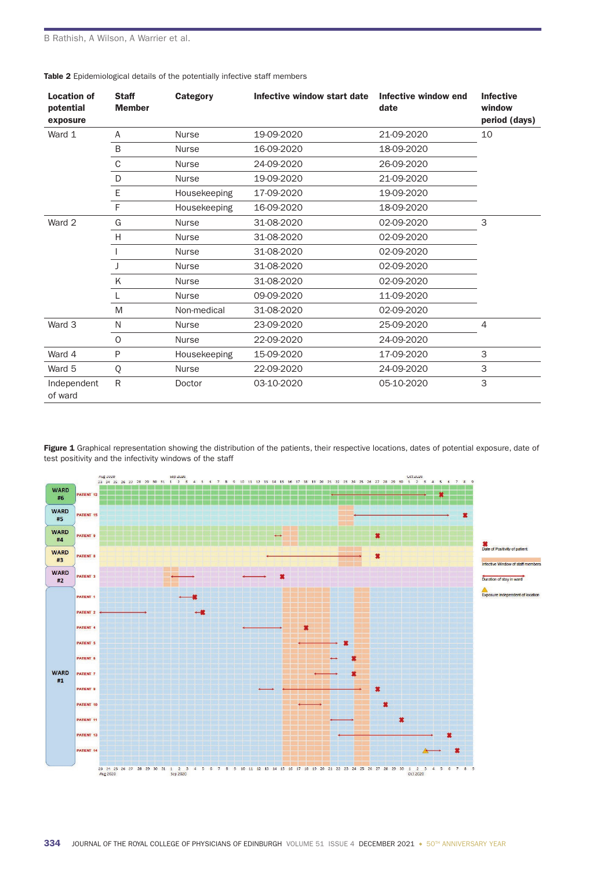| <b>Location of</b><br>potential<br>exposure | <b>Staff</b><br><b>Member</b> | <b>Category</b> | Infective window start date Infective window end | date       | <b>Infective</b><br>window<br>period (days) |
|---------------------------------------------|-------------------------------|-----------------|--------------------------------------------------|------------|---------------------------------------------|
| Ward 1                                      | A                             | <b>Nurse</b>    | 19-09-2020                                       | 21-09-2020 | 10                                          |
|                                             | B                             | <b>Nurse</b>    | 16-09-2020                                       | 18-09-2020 |                                             |
|                                             | $\mathsf C$                   | <b>Nurse</b>    | 24-09-2020                                       | 26-09-2020 |                                             |
|                                             | D                             | <b>Nurse</b>    | 19-09-2020                                       | 21-09-2020 |                                             |
|                                             | E                             | Housekeeping    | 17-09-2020                                       | 19-09-2020 |                                             |
|                                             | F                             | Housekeeping    | 16-09-2020                                       | 18-09-2020 |                                             |
| Ward 2                                      | G                             | <b>Nurse</b>    | 31-08-2020                                       | 02-09-2020 | 3                                           |
|                                             | H                             | <b>Nurse</b>    | 31-08-2020                                       | 02-09-2020 |                                             |
|                                             |                               | <b>Nurse</b>    | 31-08-2020                                       | 02-09-2020 |                                             |
|                                             |                               | <b>Nurse</b>    | 31-08-2020                                       | 02-09-2020 |                                             |
|                                             | Κ                             | <b>Nurse</b>    | 31-08-2020                                       | 02-09-2020 |                                             |
|                                             |                               | <b>Nurse</b>    | 09-09-2020                                       | 11-09-2020 |                                             |
|                                             | M                             | Non-medical     | 31-08-2020                                       | 02-09-2020 |                                             |
| Ward 3                                      | N                             | <b>Nurse</b>    | 23-09-2020                                       | 25-09-2020 | $\overline{4}$                              |
|                                             | $\circ$                       | <b>Nurse</b>    | 22-09-2020                                       | 24-09-2020 |                                             |
| Ward 4                                      | P                             | Housekeeping    | 15-09-2020                                       | 17-09-2020 | 3                                           |
| Ward 5                                      | Q                             | <b>Nurse</b>    | 22-09-2020                                       | 24-09-2020 | 3                                           |
| Independent<br>of ward                      | $\mathsf{R}$                  | Doctor          | 03-10-2020                                       | 05-10-2020 | 3                                           |

Table 2 Epidemiological details of the potentially infective staff members

Figure 1 Graphical representation showing the distribution of the patients, their respective locations, dates of potential exposure, date of test positivity and the infectivity windows of the staff

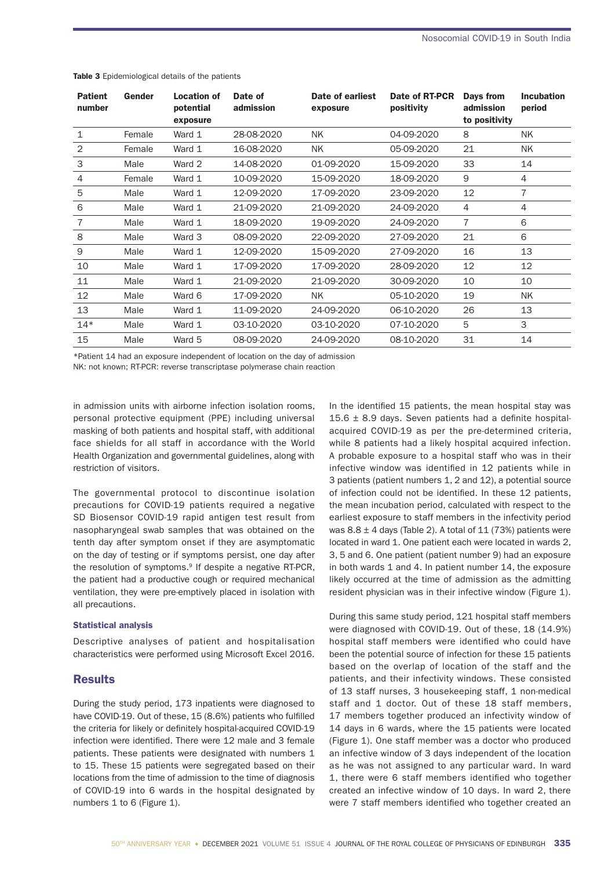| <b>Patient</b><br>number | Gender | <b>Location of</b><br>potential<br>exposure | Date of<br>admission | Date of earliest<br>exposure | Date of RT-PCR<br>positivity | Days from<br>admission<br>to positivity | <b>Incubation</b><br>period |
|--------------------------|--------|---------------------------------------------|----------------------|------------------------------|------------------------------|-----------------------------------------|-----------------------------|
| $\mathbf{1}$             | Female | Ward 1                                      | 28-08-2020           | <b>NK</b>                    | 04-09-2020                   | 8                                       | <b>NK</b>                   |
| 2                        | Female | Ward 1                                      | 16-08-2020           | <b>NK</b>                    | 05-09-2020                   | 21                                      | <b>NK</b>                   |
| 3                        | Male   | Ward 2                                      | 14-08-2020           | 01-09-2020                   | 15-09-2020                   | 33                                      | 14                          |
| $\overline{4}$           | Female | Ward 1                                      | 10-09-2020           | 15-09-2020                   | 18-09-2020                   | 9                                       | $\overline{4}$              |
| 5                        | Male   | Ward 1                                      | 12-09-2020           | 17-09-2020                   | 23-09-2020                   | 12                                      | 7                           |
| 6                        | Male   | Ward 1                                      | 21-09-2020           | 21-09-2020                   | 24-09-2020                   | 4                                       | 4                           |
| 7                        | Male   | Ward 1                                      | 18-09-2020           | 19-09-2020                   | 24-09-2020                   | 7                                       | 6                           |
| 8                        | Male   | Ward 3                                      | 08-09-2020           | 22-09-2020                   | 27-09-2020                   | 21                                      | 6                           |
| 9                        | Male   | Ward 1                                      | 12-09-2020           | 15-09-2020                   | 27-09-2020                   | 16                                      | 13                          |
| 10                       | Male   | Ward 1                                      | 17-09-2020           | 17-09-2020                   | 28-09-2020                   | 12                                      | 12                          |
| 11                       | Male   | Ward 1                                      | 21-09-2020           | 21-09-2020                   | 30-09-2020                   | 10                                      | 10                          |
| 12                       | Male   | Ward 6                                      | 17-09-2020           | NK.                          | 05-10-2020                   | 19                                      | <b>NK</b>                   |
| 13                       | Male   | Ward 1                                      | 11-09-2020           | 24-09-2020                   | 06-10-2020                   | 26                                      | 13                          |
| $14*$                    | Male   | Ward 1                                      | 03-10-2020           | 03-10-2020                   | 07-10-2020                   | 5                                       | 3                           |
| 15                       | Male   | Ward 5                                      | 08-09-2020           | 24-09-2020                   | 08-10-2020                   | 31                                      | 14                          |

Table 3 Epidemiological details of the patients

\*Patient 14 had an exposure independent of location on the day of admission

NK: not known; RT-PCR: reverse transcriptase polymerase chain reaction

in admission units with airborne infection isolation rooms, personal protective equipment (PPE) including universal masking of both patients and hospital staff, with additional face shields for all staff in accordance with the World Health Organization and governmental guidelines, along with restriction of visitors.

The governmental protocol to discontinue isolation precautions for COVID-19 patients required a negative SD Biosensor COVID-19 rapid antigen test result from nasopharyngeal swab samples that was obtained on the tenth day after symptom onset if they are asymptomatic on the day of testing or if symptoms persist, one day after the resolution of symptoms.<sup>9</sup> If despite a negative RT-PCR, the patient had a productive cough or required mechanical ventilation, they were pre-emptively placed in isolation with all precautions.

#### Statistical analysis

Descriptive analyses of patient and hospitalisation characteristics were performed using Microsoft Excel 2016.

# **Results**

During the study period, 173 inpatients were diagnosed to have COVID-19. Out of these, 15 (8.6%) patients who fulfilled the criteria for likely or definitely hospital-acquired COVID-19 infection were identified. There were 12 male and 3 female patients. These patients were designated with numbers 1 to 15. These 15 patients were segregated based on their locations from the time of admission to the time of diagnosis of COVID-19 into 6 wards in the hospital designated by numbers 1 to 6 (Figure 1).

In the identified 15 patients, the mean hospital stay was 15.6  $\pm$  8.9 days. Seven patients had a definite hospitalacquired COVID-19 as per the pre-determined criteria, while 8 patients had a likely hospital acquired infection. A probable exposure to a hospital staff who was in their infective window was identified in 12 patients while in 3 patients (patient numbers 1, 2 and 12), a potential source of infection could not be identified. In these 12 patients, the mean incubation period, calculated with respect to the earliest exposure to staff members in the infectivity period was  $8.8 \pm 4$  days (Table 2). A total of 11 (73%) patients were located in ward 1. One patient each were located in wards 2, 3, 5 and 6. One patient (patient number 9) had an exposure in both wards 1 and 4. In patient number 14, the exposure likely occurred at the time of admission as the admitting resident physician was in their infective window (Figure 1).

During this same study period, 121 hospital staff members were diagnosed with COVID-19. Out of these, 18 (14.9%) hospital staff members were identified who could have been the potential source of infection for these 15 patients based on the overlap of location of the staff and the patients, and their infectivity windows. These consisted of 13 staff nurses, 3 housekeeping staff, 1 non-medical staff and 1 doctor. Out of these 18 staff members, 17 members together produced an infectivity window of 14 days in 6 wards, where the 15 patients were located (Figure 1). One staff member was a doctor who produced an infective window of 3 days independent of the location as he was not assigned to any particular ward. In ward 1, there were 6 staff members identified who together created an infective window of 10 days. In ward 2, there were 7 staff members identified who together created an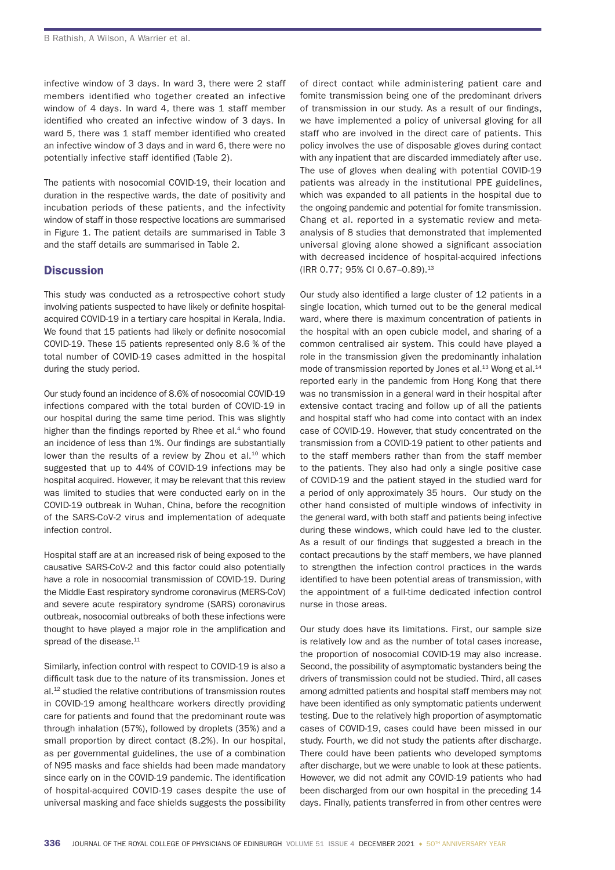infective window of 3 days. In ward 3, there were 2 staff members identified who together created an infective window of 4 days. In ward 4, there was 1 staff member identified who created an infective window of 3 days. In ward 5, there was 1 staff member identified who created an infective window of 3 days and in ward 6, there were no potentially infective staff identified (Table 2).

The patients with nosocomial COVID-19, their location and duration in the respective wards, the date of positivity and incubation periods of these patients, and the infectivity window of staff in those respective locations are summarised in Figure 1. The patient details are summarised in Table 3 and the staff details are summarised in Table 2.

# **Discussion**

This study was conducted as a retrospective cohort study involving patients suspected to have likely or definite hospitalacquired COVID-19 in a tertiary care hospital in Kerala, India. We found that 15 patients had likely or definite nosocomial COVID-19. These 15 patients represented only 8.6 % of the total number of COVID-19 cases admitted in the hospital during the study period.

Our study found an incidence of 8.6% of nosocomial COVID-19 infections compared with the total burden of COVID-19 in our hospital during the same time period. This was slightly higher than the findings reported by Rhee et al.<sup>4</sup> who found an incidence of less than 1%. Our findings are substantially lower than the results of a review by Zhou et al.<sup>10</sup> which suggested that up to 44% of COVID-19 infections may be hospital acquired. However, it may be relevant that this review was limited to studies that were conducted early on in the COVID-19 outbreak in Wuhan, China, before the recognition of the SARS-CoV-2 virus and implementation of adequate infection control.

Hospital staff are at an increased risk of being exposed to the causative SARS-CoV-2 and this factor could also potentially have a role in nosocomial transmission of COVID-19. During the Middle East respiratory syndrome coronavirus (MERS-CoV) and severe acute respiratory syndrome (SARS) coronavirus outbreak, nosocomial outbreaks of both these infections were thought to have played a major role in the amplification and spread of the disease.<sup>11</sup>

Similarly, infection control with respect to COVID-19 is also a difficult task due to the nature of its transmission. Jones et al.12 studied the relative contributions of transmission routes in COVID-19 among healthcare workers directly providing care for patients and found that the predominant route was through inhalation (57%), followed by droplets (35%) and a small proportion by direct contact (8.2%). In our hospital, as per governmental guidelines, the use of a combination of N95 masks and face shields had been made mandatory since early on in the COVID-19 pandemic. The identification of hospital-acquired COVID-19 cases despite the use of universal masking and face shields suggests the possibility of direct contact while administering patient care and fomite transmission being one of the predominant drivers of transmission in our study. As a result of our findings, we have implemented a policy of universal gloving for all staff who are involved in the direct care of patients. This policy involves the use of disposable gloves during contact with any inpatient that are discarded immediately after use. The use of gloves when dealing with potential COVID-19 patients was already in the institutional PPE guidelines, which was expanded to all patients in the hospital due to the ongoing pandemic and potential for fomite transmission. Chang et al. reported in a systematic review and metaanalysis of 8 studies that demonstrated that implemented universal gloving alone showed a significant association with decreased incidence of hospital-acquired infections (IRR 0.77; 95% CI 0.67-0.89).<sup>13</sup>

Our study also identified a large cluster of 12 patients in a single location, which turned out to be the general medical ward, where there is maximum concentration of patients in the hospital with an open cubicle model, and sharing of a common centralised air system. This could have played a role in the transmission given the predominantly inhalation mode of transmission reported by Jones et al.<sup>13</sup> Wong et al.<sup>14</sup> reported early in the pandemic from Hong Kong that there was no transmission in a general ward in their hospital after extensive contact tracing and follow up of all the patients and hospital staff who had come into contact with an index case of COVID-19. However, that study concentrated on the transmission from a COVID-19 patient to other patients and to the staff members rather than from the staff member to the patients. They also had only a single positive case of COVID-19 and the patient stayed in the studied ward for a period of only approximately 35 hours. Our study on the other hand consisted of multiple windows of infectivity in the general ward, with both staff and patients being infective during these windows, which could have led to the cluster. As a result of our findings that suggested a breach in the contact precautions by the staff members, we have planned to strengthen the infection control practices in the wards identified to have been potential areas of transmission, with the appointment of a full-time dedicated infection control nurse in those areas.

Our study does have its limitations. First, our sample size is relatively low and as the number of total cases increase, the proportion of nosocomial COVID-19 may also increase. Second, the possibility of asymptomatic bystanders being the drivers of transmission could not be studied. Third, all cases among admitted patients and hospital staff members may not have been identified as only symptomatic patients underwent testing. Due to the relatively high proportion of asymptomatic cases of COVID-19, cases could have been missed in our study. Fourth, we did not study the patients after discharge. There could have been patients who developed symptoms after discharge, but we were unable to look at these patients. However, we did not admit any COVID-19 patients who had been discharged from our own hospital in the preceding 14 days. Finally, patients transferred in from other centres were